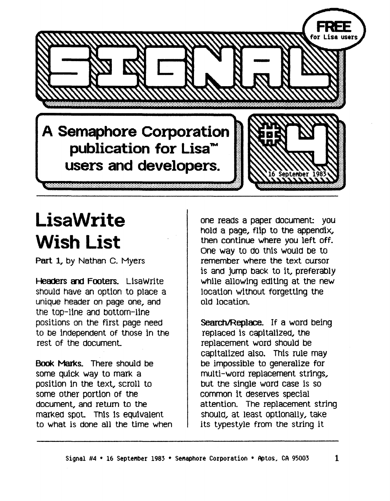**A Semaphore Corporation publication for Lisa1M users and developers.** 

## **LisaWrite Wish List**

Part 1, by Nathan C. Myers

**Headers and Footers. LisaWrite** should have an option to place a unique header on page one, and the top-line and bottom-line positions on the first page need to be independent of those in the rest of the document

Book Marks. There should be some quick way to mark a position in the text, scroll to some other portion of the document, and return to the marked spot. This is equivalent to what is done all the time when one reads a paper document: you hold a page,. flip to the appendix, then continue where you left off. One way to do this would be to remember where the text cursor is and jump back to it, preferably while allowing editing at the new location without forgetting the old location.

Search/Replace. If a word being replaced Is capitalized, the replacement word should be capitalized also. This rule may be impossible to generalize for multi-word replacement strings, but the single word case Is so common it deserves special attention. The replacement string should, at least optionally, take its typestyle from the string it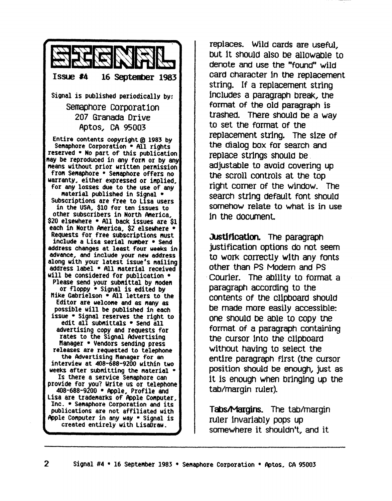

replaces. Wild cards are useful, but it should also be allowable to denote and use the "found" wild card character in the replacement string. If a replacement string Includes a paragraph break, the format of the old paragraph is trashed. There should be a way to set the format of the replacement string. The sIze of the dialog box for search and replace strings should be. adjustable to avoid covering up the scroll controls at the top right comer of the window. The search string default font should somehow relate to what is in use in the document.

Justification. The paragraph justification options do not seem to work correctly wIth any fonts other than PS Modern and PS Courier. The ability to format a paragraph according to the contents of the cl1pboara shoula be made more easily accessible: one should be able to copy the format of a paragraph containing the cursor Into the cllpboara without having to select the entire paragraph fIrst (the cursor position should be enough, just as It is enough when bringing up the tab/margin ruler).

Tabs/Margins. The tab/margin ruler InvarIably pops up somewhere it shouldn't, and it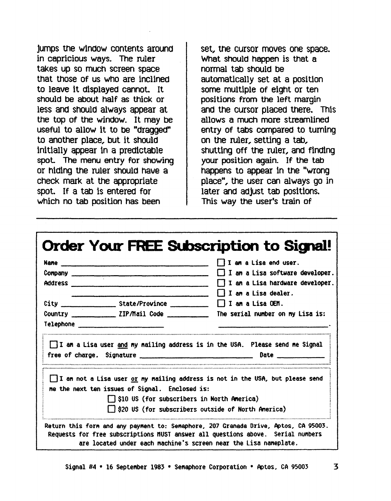jumps the window contents around in capricious ways. The ruler takes up so much screen space that those of us who are inclined to leave it displayed cannot. It should be about half as thick or less and should always appear at the top of the window. It may be useful to allow it to be "dragged" to another place, but it should initially appear in a predictable spot. The menu entry for showing or hiding the ruler should have a check mark at the appropriate spot. If a tab is entered for which no tab position has been

set, the cursor moves one space. What should happen is that a normal tab should be automatically set at a position some multiple of eight or ten positions from the left margin and the cursor placed there. This allows a much more streamlined entry of tabs compared to turning on the ruler, setting a tab, shutting off the ruler, and finding your position again. If the tab happens to appear in the "wrong" place", the user can always go in later and adjust tab positions. This way the user's train of

|           |                                                                                | $\Box$ I am a Lisa end user.                                                                    |
|-----------|--------------------------------------------------------------------------------|-------------------------------------------------------------------------------------------------|
|           |                                                                                | $\Box$ I am a Lisa software developer.                                                          |
|           |                                                                                | I I am a Lisa hardware developer.                                                               |
|           |                                                                                | $\Box$ I am a Lisa dealer.                                                                      |
|           | City $\frac{1}{\sqrt{2}}$ State/Province $\frac{1}{\sqrt{2}}$ I am a Lisa OEM. |                                                                                                 |
|           |                                                                                | Country ____________________ ZIP/Mail Code ________________ The serial number on my Lisa is:    |
| Telephone |                                                                                |                                                                                                 |
|           |                                                                                | I I am a Lisa user and my mailing address is in the USA. Please send me Signal<br>Date $\qquad$ |
|           | free of charge. Signature <b>contained</b> the contract of charge.             |                                                                                                 |

3